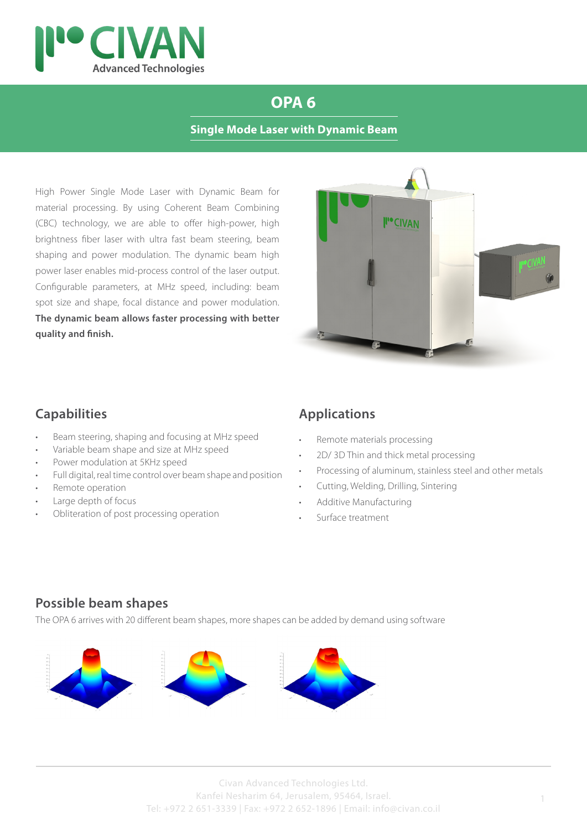

# **OPA 6**

#### **Single Mode Laser with Dynamic Beam**

High Power Single Mode Laser with Dynamic Beam for material processing. By using Coherent Beam Combining (CBC) technology, we are able to offer high-power, high brightness fiber laser with ultra fast beam steering, beam shaping and power modulation. The dynamic beam high power laser enables mid-process control of the laser output. Configurable parameters, at MHz speed, including: beam spot size and shape, focal distance and power modulation. **The dynamic beam allows faster processing with better quality and finish.**



#### **Capabilities**

- Beam steering, shaping and focusing at MHz speed
- Variable beam shape and size at MHz speed
- Power modulation at 5KHz speed
- Full digital, real time control over beam shape and position
- Remote operation
- Large depth of focus
- Obliteration of post processing operation

### **Applications**

- Remote materials processing
- 2D/ 3D Thin and thick metal processing
- Processing of aluminum, stainless steel and other metals
- Cutting, Welding, Drilling, Sintering
- Additive Manufacturing
- Surface treatment

### **Possible beam shapes**

The OPA 6 arrives with 20 different beam shapes, more shapes can be added by demand using software